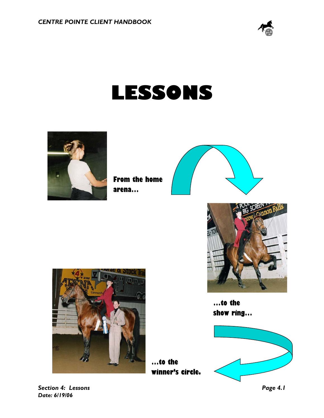

# **LESSONS**

**…to the** 



**From the home arena…**





**…to the show ring…**





*Section 4: Lessons Page 4.1 Date: 6/19/06*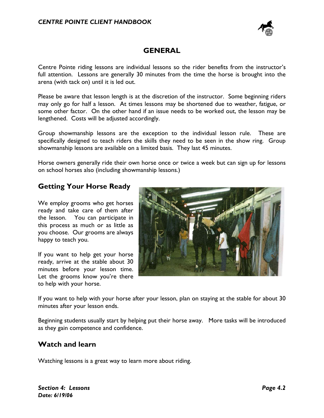

## **GENERAL**

Centre Pointe riding lessons are individual lessons so the rider benefits from the instructor's full attention. Lessons are generally 30 minutes from the time the horse is brought into the arena (with tack on) until it is led out.

Please be aware that lesson length is at the discretion of the instructor. Some beginning riders may only go for half a lesson. At times lessons may be shortened due to weather, fatigue, or some other factor. On the other hand if an issue needs to be worked out, the lesson may be lengthened. Costs will be adjusted accordingly.

Group showmanship lessons are the exception to the individual lesson rule. These are specifically designed to teach riders the skills they need to be seen in the show ring. Group showmanship lessons are available on a limited basis. They last 45 minutes.

Horse owners generally ride their own horse once or twice a week but can sign up for lessons on school horses also (including showmanship lessons.)

## **Getting Your Horse Ready**

We employ grooms who get horses ready and take care of them after the lesson. You can participate in this process as much or as little as you choose. Our grooms are always happy to teach you.

If you want to help get your horse ready, arrive at the stable about 30 minutes before your lesson time. Let the grooms know you're there to help with your horse.



If you want to help with your horse after your lesson, plan on staying at the stable for about 30 minutes after your lesson ends.

Beginning students usually start by helping put their horse away. More tasks will be introduced as they gain competence and confidence.

#### **Watch and learn**

Watching lessons is a great way to learn more about riding.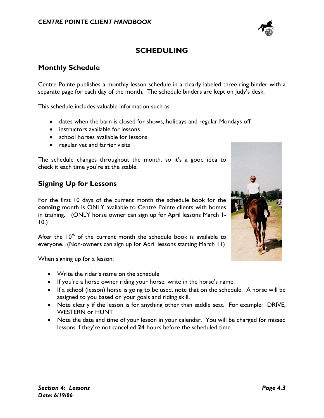

# **SCHEDULING**

## **Monthly Schedule**

Centre Pointe publishes a monthly lesson schedule in a clearly-labeled three-ring binder with a separate page for each day of the month. The schedule binders are kept on Judy's desk.

This schedule includes valuable information such as:

- dates when the barn is closed for shows, holidays and regular Mondays off
- instructors available for lessons
- school horses available for lessons
- regular vet and farrier visits

The schedule changes throughout the month, so it's a good idea to check it each time you're at the stable.

## **Signing Up for Lessons**

For the first 10 days of the current month the schedule book for the **coming** month is ONLY available to Centre Pointe clients with horses in training. (ONLY horse owner can sign up for April lessons March 1- 10.)

After the  $10<sup>th</sup>$  of the current month the schedule book is available to everyone. (Non-owners can sign up for April lessons starting March 11)

When signing up for a lesson:

- Write the rider's name on the schedule
- If you're a horse owner riding your horse, write in the horse's name.
- If a school (lesson) horse is going to be used, note that on the schedule. A horse will be assigned to you based on your goals and riding skill.
- Note clearly if the lesson is for anything other than saddle seat. For example: DRIVE, WESTERN or HUNT
- Note the date and time of your lesson in your calendar. You will be charged for missed lessons if they're not cancelled **24** hours before the scheduled time.

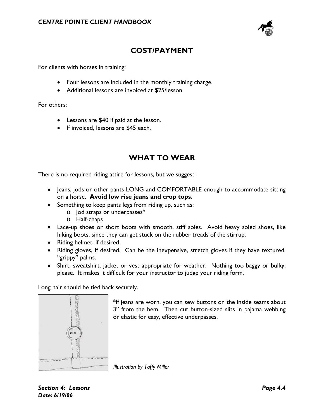

# **COST/PAYMENT**

For clients with horses in training:

- Four lessons are included in the monthly training charge.
- Additional lessons are invoiced at \$25/lesson.

For others:

- Lessons are \$40 if paid at the lesson.
- If invoiced, lessons are \$45 each.

## **WHAT TO WEAR**

There is no required riding attire for lessons, but we suggest:

- Jeans, jods or other pants LONG and COMFORTABLE enough to accommodate sitting on a horse. **Avoid low rise jeans and crop tops.**
- Something to keep pants legs from riding up, such as:
	- o Jod straps or underpasses\*
	- o Half-chaps
- Lace-up shoes or short boots with smooth, stiff soles. Avoid heavy soled shoes, like hiking boots, since they can get stuck on the rubber treads of the stirrup.
- Riding helmet, if desired
- Riding gloves, if desired. Can be the inexpensive, stretch gloves if they have textured, "grippy" palms.
- Shirt, sweatshirt, jacket or vest appropriate for weather. Nothing too baggy or bulky, please. It makes it difficult for your instructor to judge your riding form.

Long hair should be tied back securely.



\*If jeans are worn, you can sew buttons on the inside seams about 3" from the hem. Then cut button-sized slits in pajama webbing or elastic for easy, effective underpasses.

*Illustration by Taffy Miller*

*Section 4: Lessons Page 4.4 Date: 6/19/06*